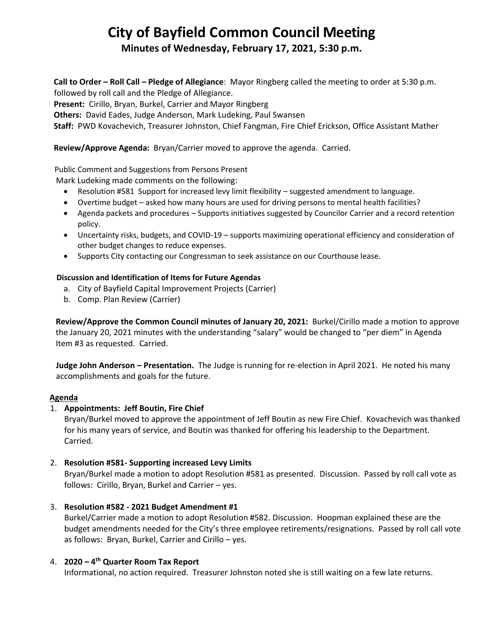# **City of Bayfield Common Council Meeting**

**Minutes of Wednesday, February 17, 2021, 5:30 p.m.**

**Call to Order – Roll Call – Pledge of Allegiance**: Mayor Ringberg called the meeting to order at 5:30 p.m. followed by roll call and the Pledge of Allegiance.

**Present:** Cirillo, Bryan, Burkel, Carrier and Mayor Ringberg

**Others:** David Eades, Judge Anderson, Mark Ludeking, Paul Swansen

**Staff:** PWD Kovachevich, Treasurer Johnston, Chief Fangman, Fire Chief Erickson, Office Assistant Mather

## **Review/Approve Agenda:** Bryan/Carrier moved to approve the agenda. Carried.

## Public Comment and Suggestions from Persons Present

Mark Ludeking made comments on the following:

- Resolution #581 Support for increased levy limit flexibility suggested amendment to language.
- Overtime budget asked how many hours are used for driving persons to mental health facilities?
- Agenda packets and procedures Supports initiatives suggested by Councilor Carrier and a record retention policy.
- Uncertainty risks, budgets, and COVID-19 supports maximizing operational efficiency and consideration of other budget changes to reduce expenses.
- Supports City contacting our Congressman to seek assistance on our Courthouse lease.

#### **Discussion and Identification of Items for Future Agendas**

- a. City of Bayfield Capital Improvement Projects (Carrier)
- b. Comp. Plan Review (Carrier)

 **Review/Approve the Common Council minutes of January 20, 2021:** Burkel/Cirillo made a motion to approve the January 20, 2021 minutes with the understanding "salary" would be changed to "per diem" in Agenda Item #3 as requested. Carried.

 **Judge John Anderson – Presentation.** The Judge is running for re-election in April 2021. He noted his many accomplishments and goals for the future.

## **Agenda**

## 1. **Appointments: Jeff Boutin, Fire Chief**

Bryan/Burkel moved to approve the appointment of Jeff Boutin as new Fire Chief. Kovachevich was thanked for his many years of service, and Boutin was thanked for offering his leadership to the Department. Carried.

## 2. **Resolution #581- Supporting increased Levy Limits**

Bryan/Burkel made a motion to adopt Resolution #581 as presented. Discussion. Passed by roll call vote as follows: Cirillo, Bryan, Burkel and Carrier – yes.

## 3. **Resolution #582 - 2021 Budget Amendment #1**

Burkel/Carrier made a motion to adopt Resolution #582. Discussion. Hoopman explained these are the budget amendments needed for the City's three employee retirements/resignations. Passed by roll call vote as follows: Bryan, Burkel, Carrier and Cirillo – yes.

## 4. **2020 – 4 th Quarter Room Tax Report**

Informational, no action required. Treasurer Johnston noted she is still waiting on a few late returns.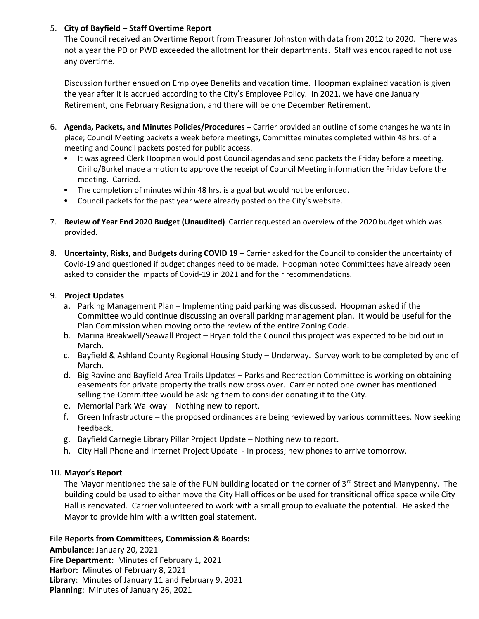## 5. **City of Bayfield – Staff Overtime Report**

The Council received an Overtime Report from Treasurer Johnston with data from 2012 to 2020. There was not a year the PD or PWD exceeded the allotment for their departments. Staff was encouraged to not use any overtime.

Discussion further ensued on Employee Benefits and vacation time. Hoopman explained vacation is given the year after it is accrued according to the City's Employee Policy. In 2021, we have one January Retirement, one February Resignation, and there will be one December Retirement.

- 6. **Agenda, Packets, and Minutes Policies/Procedures** Carrier provided an outline of some changes he wants in place; Council Meeting packets a week before meetings, Committee minutes completed within 48 hrs. of a meeting and Council packets posted for public access.
	- It was agreed Clerk Hoopman would post Council agendas and send packets the Friday before a meeting. Cirillo/Burkel made a motion to approve the receipt of Council Meeting information the Friday before the meeting. Carried.
	- The completion of minutes within 48 hrs. is a goal but would not be enforced.
	- Council packets for the past year were already posted on the City's website.
- 7. **Review of Year End 2020 Budget (Unaudited)** Carrier requested an overview of the 2020 budget which was provided.
- 8. **Uncertainty, Risks, and Budgets during COVID 19** Carrier asked for the Council to consider the uncertainty of Covid-19 and questioned if budget changes need to be made. Hoopman noted Committees have already been asked to consider the impacts of Covid-19 in 2021 and for their recommendations.

## 9. **Project Updates**

- a. Parking Management Plan Implementing paid parking was discussed. Hoopman asked if the Committee would continue discussing an overall parking management plan. It would be useful for the Plan Commission when moving onto the review of the entire Zoning Code.
- b. Marina Breakwell/Seawall Project Bryan told the Council this project was expected to be bid out in March.
- c. Bayfield & Ashland County Regional Housing Study Underway. Survey work to be completed by end of March.
- d. Big Ravine and Bayfield Area Trails Updates Parks and Recreation Committee is working on obtaining easements for private property the trails now cross over. Carrier noted one owner has mentioned selling the Committee would be asking them to consider donating it to the City.
- e. Memorial Park Walkway Nothing new to report.
- f. Green Infrastructure the proposed ordinances are being reviewed by various committees. Now seeking feedback.
- g. Bayfield Carnegie Library Pillar Project Update Nothing new to report.
- h. City Hall Phone and Internet Project Update In process; new phones to arrive tomorrow.

# 10. **Mayor's Report**

The Mayor mentioned the sale of the FUN building located on the corner of 3<sup>rd</sup> Street and Manypenny. The building could be used to either move the City Hall offices or be used for transitional office space while City Hall is renovated. Carrier volunteered to work with a small group to evaluate the potential. He asked the Mayor to provide him with a written goal statement.

## **File Reports from Committees, Commission & Boards:**

**Ambulance**: January 20, 2021 **Fire Department:** Minutes of February 1, 2021 **Harbor:** Minutes of February 8, 2021 **Library**: Minutes of January 11 and February 9, 2021 **Planning**: Minutes of January 26, 2021